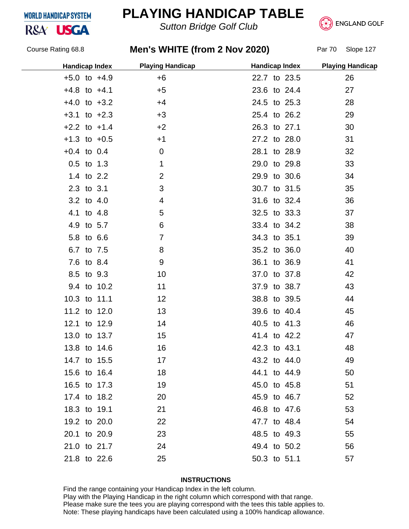### **WORLD HANDICAP SYSTEM**

R&A<sup>'</sup> USGA

# **PLAYING HANDICAP TABLE**

*Sutton Bridge Golf Club*



Course Rating 68.8

## **Men's WHITE (from 2 Nov 2020)** Par 70 Slope 127

| <b>Handicap Index</b> |                | <b>Playing Handicap</b> | <b>Handicap Index</b> | <b>Playing Handicap</b> |
|-----------------------|----------------|-------------------------|-----------------------|-------------------------|
| $+5.0$ to $+4.9$      |                | $+6$                    | 22.7 to 23.5          | 26                      |
| $+4.8$ to $+4.1$      | $+5$           |                         | 23.6 to 24.4          | 27                      |
| $+4.0$ to $+3.2$      | $+4$           |                         | 24.5 to 25.3          | 28                      |
| $+3.1$ to $+2.3$      | $+3$           |                         | 25.4 to 26.2          | 29                      |
| $+2.2$ to $+1.4$      | $+2$           |                         | 26.3 to 27.1          | 30                      |
| $+1.3$ to $+0.5$      | $+1$           |                         | 27.2 to 28.0          | 31                      |
| $+0.4$ to 0.4         | $\mathbf 0$    |                         | 28.1 to 28.9          | 32                      |
| $0.5$ to 1.3          | $\mathbf{1}$   |                         | 29.0 to 29.8          | 33                      |
| 1.4 to 2.2            | $\overline{2}$ |                         | 29.9 to 30.6          | 34                      |
| 2.3 to 3.1            | 3              |                         | 30.7 to 31.5          | 35                      |
| 3.2 to 4.0            | 4              |                         | 31.6 to 32.4          | 36                      |
| 4.1 to 4.8            | 5              |                         | 32.5 to 33.3          | 37                      |
| 4.9 to 5.7            | 6              |                         | 33.4 to 34.2          | 38                      |
| 5.8 to 6.6            | $\overline{7}$ |                         | 34.3 to 35.1          | 39                      |
| 6.7 to 7.5            | 8              |                         | 35.2 to 36.0          | 40                      |
| 7.6 to 8.4            | 9              |                         | 36.1 to 36.9          | 41                      |
| 8.5 to 9.3            | 10             |                         | 37.0 to 37.8          | 42                      |
| 9.4 to 10.2           | 11             |                         | 37.9 to 38.7          | 43                      |
| 10.3 to 11.1          |                | 12                      | 38.8 to 39.5          | 44                      |
| 11.2 to 12.0          | 13             |                         | 39.6 to 40.4          | 45                      |
| 12.1 to 12.9          | 14             |                         | 40.5 to 41.3          | 46                      |
| 13.0 to 13.7          | 15             |                         | 41.4 to 42.2          | 47                      |
| 13.8 to 14.6          | 16             |                         | 42.3 to 43.1          | 48                      |
| 14.7 to 15.5          | 17             |                         | 43.2 to 44.0          | 49                      |
| 15.6 to 16.4          | 18             |                         | 44.1 to 44.9          | 50                      |
| 16.5 to 17.3          | 19             |                         | 45.0 to 45.8          | 51                      |
| 17.4 to 18.2          | 20             |                         | 45.9 to 46.7          | 52                      |
| 18.3 to 19.1          | 21             |                         | 46.8 to 47.6          | 53                      |
| 19.2 to 20.0          | 22             |                         | 47.7 to 48.4          | 54                      |
| 20.1 to 20.9          | 23             |                         | 48.5 to 49.3          | 55                      |
| 21.0 to 21.7          | 24             |                         | 49.4 to 50.2          | 56                      |
| 21.8 to 22.6          | 25             |                         | 50.3 to 51.1          | 57                      |
|                       |                |                         |                       |                         |

#### **INSTRUCTIONS**

Find the range containing your Handicap Index in the left column. Play with the Playing Handicap in the right column which correspond with that range. Please make sure the tees you are playing correspond with the tees this table applies to. Note: These playing handicaps have been calculated using a 100% handicap allowance.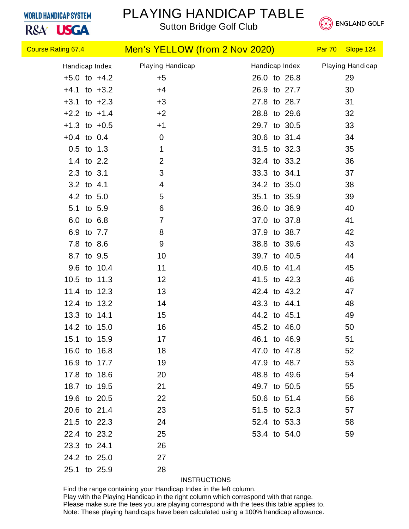### **WORLD HANDICAP SYSTEM**

R&A<sup>'</sup> USGA

# PLAYING HANDICAP TABLE





| <b>Course Rating 67.4 Course Rating 67.4</b> |                  | Men's YELLOW (from 2 Nov 2020) | Par 70<br>Slope 124 |
|----------------------------------------------|------------------|--------------------------------|---------------------|
| Handicap Index                               | Playing Handicap | Handicap Index                 | Playing Handicap    |
| $+5.0$ to $+4.2$                             | $+5$             | 26.0 to 26.8                   | 29                  |
| $+4.1$ to $+3.2$                             | $+4$             | 26.9 to 27.7                   | 30                  |
| $+3.1$ to $+2.3$                             | $+3$             | 27.8 to 28.7                   | 31                  |
| $+2.2$ to $+1.4$                             | $+2$             | 28.8 to 29.6                   | 32                  |
| $+1.3$ to $+0.5$                             | $+1$             | 29.7 to 30.5                   | 33                  |
| $+0.4$ to 0.4                                | $\mathbf 0$      | 30.6 to 31.4                   | 34                  |
| $0.5$ to 1.3                                 | 1                | 31.5 to 32.3                   | 35                  |
| 1.4 to 2.2                                   | 2                | 32.4 to 33.2                   | 36                  |
| 2.3 to 3.1                                   | 3                | 33.3 to 34.1                   | 37                  |
| 3.2 to 4.1                                   | 4                | 34.2 to 35.0                   | 38                  |
| 4.2 to 5.0                                   | 5                | 35.1 to 35.9                   | 39                  |
| 5.1 to 5.9                                   | 6                | 36.0 to 36.9                   | 40                  |
| 6.0 to 6.8                                   | $\overline{7}$   | 37.0 to 37.8                   | 41                  |
| 6.9 to 7.7                                   | 8                | 37.9 to 38.7                   | 42                  |
| 7.8 to 8.6                                   | 9                | 38.8 to 39.6                   | 43                  |
| 8.7 to 9.5                                   | 10               | 39.7 to 40.5                   | 44                  |
| 9.6 to 10.4                                  | 11               | 40.6 to 41.4                   | 45                  |
| 10.5 to 11.3                                 | 12               | 41.5 to 42.3                   | 46                  |
| 11.4 to 12.3                                 | 13               | 42.4 to 43.2                   | 47                  |
| 12.4 to 13.2                                 | 14               | 43.3 to 44.1                   | 48                  |
| 13.3 to 14.1                                 | 15               | 44.2 to 45.1                   | 49                  |
| 14.2 to 15.0                                 | 16               | 45.2 to 46.0                   | 50                  |
| 15.1 to 15.9                                 | 17               | 46.1 to 46.9                   | 51                  |
| 16.0 to 16.8                                 | 18               | 47.0 to 47.8                   | 52                  |
| 16.9 to 17.7                                 | 19               | 47.9 to 48.7                   | 53                  |
| 17.8 to 18.6                                 | 20               | 48.8 to 49.6                   | 54                  |
| 18.7 to 19.5                                 | 21               | 49.7 to 50.5                   | 55                  |
| 19.6 to 20.5                                 | 22               | 50.6 to 51.4                   | 56                  |
| 20.6 to 21.4                                 | 23               | 51.5 to 52.3                   | 57                  |
| 21.5 to 22.3                                 | 24               | 52.4 to 53.3                   | 58                  |
| 22.4 to 23.2                                 | 25               | 53.4 to 54.0                   | 59                  |
| 23.3 to 24.1                                 | 26               |                                |                     |
| 24.2 to 25.0                                 | 27               |                                |                     |
| 25.1 to 25.9                                 | 28               |                                |                     |

#### **INSTRUCTIONS**

Find the range containing your Handicap Index in the left column. Play with the Playing Handicap in the right column which correspond with that range. Please make sure the tees you are playing correspond with the tees this table applies to. Note: These playing handicaps have been calculated using a 100% handicap allowance.